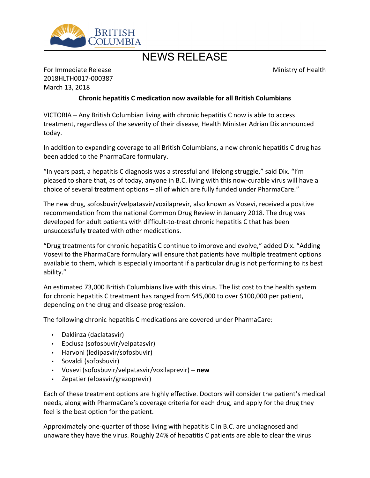

## NEWS RELEASE

Ministry of Health

For Immediate Release 2018HLTH0017-000387 March 13, 2018

## **Chronic hepatitis C medication now available for all British Columbians**

VICTORIA – Any British Columbian living with chronic hepatitis C now is able to access treatment, regardless of the severity of their disease, Health Minister Adrian Dix announced today.

In addition to expanding coverage to all British Columbians, a new chronic hepatitis C drug has been added to the PharmaCare formulary.

"In years past, a hepatitis C diagnosis was a stressful and lifelong struggle," said Dix. "I'm pleased to share that, as of today, anyone in B.C. living with this now-curable virus will have a choice of several treatment options – all of which are fully funded under PharmaCare."

The new drug, sofosbuvir/velpatasvir/voxilaprevir, also known as Vosevi, received a positive recommendation from the national Common Drug Review in January 2018. The drug was developed for adult patients with difficult-to-treat chronic hepatitis C that has been unsuccessfully treated with other medications.

"Drug treatments for chronic hepatitis C continue to improve and evolve," added Dix. "Adding Vosevi to the PharmaCare formulary will ensure that patients have multiple treatment options available to them, which is especially important if a particular drug is not performing to its best ability."

An estimated 73,000 British Columbians live with this virus. The list cost to the health system for chronic hepatitis C treatment has ranged from \$45,000 to over \$100,000 per patient, depending on the drug and disease progression.

The following chronic hepatitis C medications are covered under PharmaCare:

- Daklinza (daclatasvir)
- Epclusa (sofosbuvir/velpatasvir)
- Harvoni (ledipasvir/sofosbuvir)
- Sovaldi (sofosbuvir)
- Vosevi (sofosbuvir/velpatasvir/voxilaprevir)  **new**
- Zepatier (elbasvir/grazoprevir)

Each of these treatment options are highly effective. Doctors will consider the patient's medical needs, along with PharmaCare's coverage criteria for each drug, and apply for the drug they feel is the best option for the patient.

Approximately one-quarter of those living with hepatitis C in B.C. are undiagnosed and unaware they have the virus. Roughly 24% of hepatitis C patients are able to clear the virus